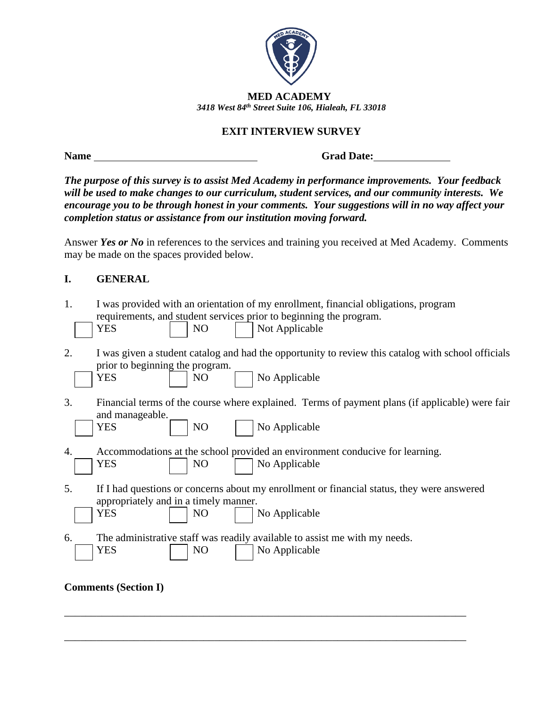

## **EXIT INTERVIEW SURVEY**

**Name** Grad Date:

*The purpose of this survey is to assist Med Academy in performance improvements. Your feedback will be used to make changes to our curriculum, student services, and our community interests. We encourage you to be through honest in your comments. Your suggestions will in no way affect your completion status or assistance from our institution moving forward.* 

Answer *Yes or No* in references to the services and training you received at Med Academy. Comments may be made on the spaces provided below.

## **I. GENERAL**

- 1. I was provided with an orientation of my enrollment, financial obligations, program requirements, and student services prior to beginning the program. YES NO Not Applicable
- 2. I was given a student catalog and had the opportunity to review this catalog with school officials prior to beginning the program. YES | | NO | | | No Applicable
- 3. Financial terms of the course where explained. Terms of payment plans (if applicable) were fair and manageable.
- YES | | | NO | | | | No Applicable
- 4. Accommodations at the school provided an environment conducive for learning. YES | | NO | | No Applicable
- 5. If I had questions or concerns about my enrollment or financial status, they were answered appropriately and in a timely manner.

\_\_\_\_\_\_\_\_\_\_\_\_\_\_\_\_\_\_\_\_\_\_\_\_\_\_\_\_\_\_\_\_\_\_\_\_\_\_\_\_\_\_\_\_\_\_\_\_\_\_\_\_\_\_\_\_\_\_\_\_\_\_\_\_\_\_\_\_\_\_\_\_\_\_\_

\_\_\_\_\_\_\_\_\_\_\_\_\_\_\_\_\_\_\_\_\_\_\_\_\_\_\_\_\_\_\_\_\_\_\_\_\_\_\_\_\_\_\_\_\_\_\_\_\_\_\_\_\_\_\_\_\_\_\_\_\_\_\_\_\_\_\_\_\_\_\_\_\_\_\_

|  | YES |  | NC |  | No Applicable |
|--|-----|--|----|--|---------------|
|--|-----|--|----|--|---------------|

6. The administrative staff was readily available to assist me with my needs. YES | | | NO | | | | | No Applicable

**Comments (Section I)**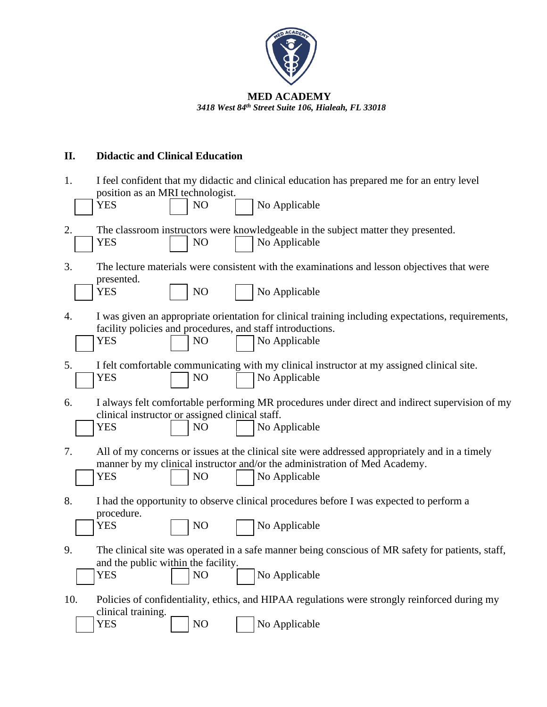

# **II. Didactic and Clinical Education**

| 1.  | I feel confident that my didactic and clinical education has prepared me for an entry level<br>position as an MRI technologist.<br>No Applicable<br><b>YES</b><br>NO                                                          |
|-----|-------------------------------------------------------------------------------------------------------------------------------------------------------------------------------------------------------------------------------|
| 2.  | The classroom instructors were knowledgeable in the subject matter they presented.<br>No Applicable<br><b>YES</b><br>NO                                                                                                       |
| 3.  | The lecture materials were consistent with the examinations and lesson objectives that were<br>presented.<br><b>YES</b><br>NO<br>No Applicable                                                                                |
| 4.  | I was given an appropriate orientation for clinical training including expectations, requirements,<br>facility policies and procedures, and staff introductions.<br>No Applicable<br><b>YES</b><br>NO                         |
| 5.  | I felt comfortable communicating with my clinical instructor at my assigned clinical site.<br>No Applicable<br><b>YES</b><br>N <sub>O</sub>                                                                                   |
| 6.  | I always felt comfortable performing MR procedures under direct and indirect supervision of my<br>clinical instructor or assigned clinical staff.<br>No Applicable<br><b>YES</b><br>N <sub>O</sub>                            |
| 7.  | All of my concerns or issues at the clinical site were addressed appropriately and in a timely<br>manner by my clinical instructor and/or the administration of Med Academy.<br>No Applicable<br><b>YES</b><br>N <sub>O</sub> |
| 8.  | I had the opportunity to observe clinical procedures before I was expected to perform a<br>procedure.<br><b>YES</b><br>NO<br>No Applicable                                                                                    |
| 9.  | The clinical site was operated in a safe manner being conscious of MR safety for patients, staff,<br>and the public within the facility.<br>No Applicable<br><b>YES</b><br>N <sub>O</sub>                                     |
| 10. | Policies of confidentiality, ethics, and HIPAA regulations were strongly reinforced during my<br>clinical training.<br>NO<br><b>YES</b><br>No Applicable                                                                      |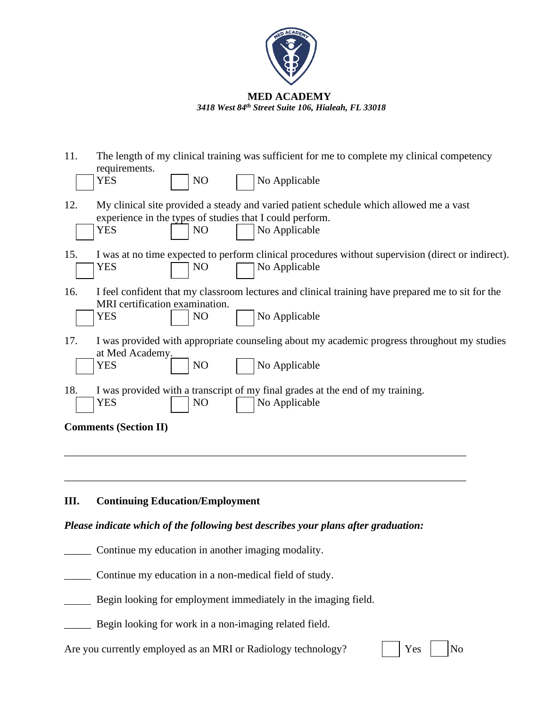

| 11.               | The length of my clinical training was sufficient for me to complete my clinical competency                                                                                           |                                                                                                    |
|-------------------|---------------------------------------------------------------------------------------------------------------------------------------------------------------------------------------|----------------------------------------------------------------------------------------------------|
| <b>YES</b>        | requirements.<br>NO<br>No Applicable                                                                                                                                                  |                                                                                                    |
| 12.<br><b>YES</b> | My clinical site provided a steady and varied patient schedule which allowed me a vast<br>experience in the types of studies that I could perform.<br>No Applicable<br>N <sub>O</sub> |                                                                                                    |
| 15.<br><b>YES</b> | No Applicable<br>N <sub>O</sub>                                                                                                                                                       | I was at no time expected to perform clinical procedures without supervision (direct or indirect). |
| 16.<br><b>YES</b> | MRI certification examination.<br>NO<br>No Applicable                                                                                                                                 | I feel confident that my classroom lectures and clinical training have prepared me to sit for the  |
| 17.<br>YES        | at Med Academy.<br>NO<br>No Applicable                                                                                                                                                | I was provided with appropriate counseling about my academic progress throughout my studies        |
| 18.<br>YES        | I was provided with a transcript of my final grades at the end of my training.<br>No Applicable<br>N <sub>O</sub>                                                                     |                                                                                                    |
|                   | <b>Comments (Section II)</b>                                                                                                                                                          |                                                                                                    |
|                   | $\mathbf{r}$<br>$\sqrt{2}$                                                                                                                                                            |                                                                                                    |

## **III. Continuing Education/Employment**

## *Please indicate which of the following best describes your plans after graduation:*

\_\_\_\_\_ Continue my education in another imaging modality.

\_\_\_\_\_ Continue my education in a non-medical field of study.

Begin looking for employment immediately in the imaging field.

\_\_\_\_\_ Begin looking for work in a non-imaging related field.

Are you currently employed as an MRI or Radiology technology?  $|$  | Yes | | No

|  | -<br>- -<br>$\sim$ |  |  |
|--|--------------------|--|--|
|--|--------------------|--|--|